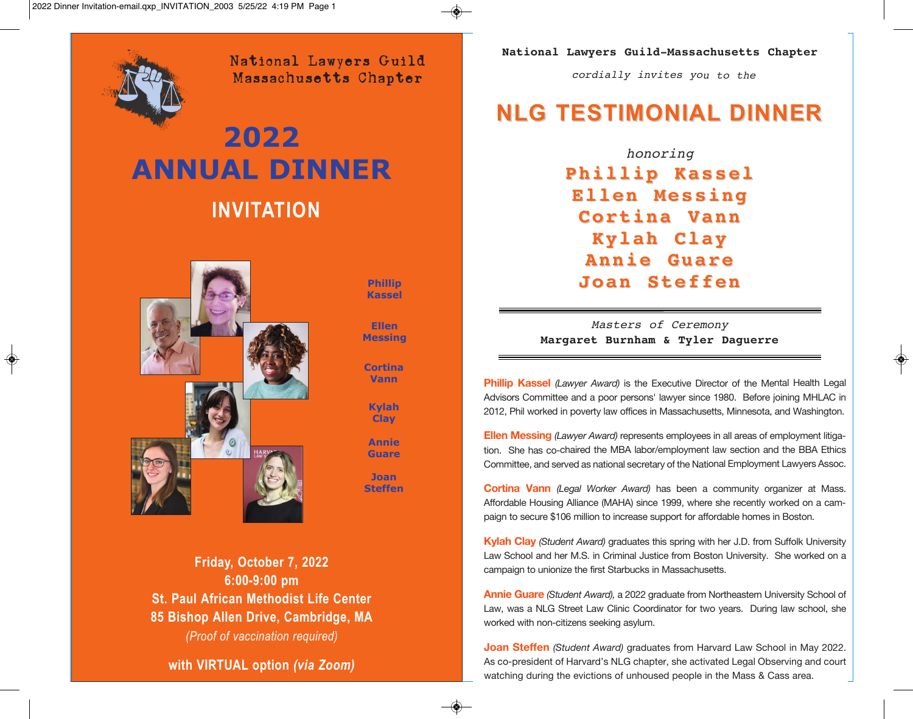

 $\bigcirc$ 

National Lawyers Guild Massachusetts Chapter

# **INVITATION 2022 ANNUAL DiNNEr**



**Phillip Kassel**

**Ellen Messing**

**Cortina Vann**

**Kylah Clay**

**Annie Guare**

**Joan Steffen**

**Friday, October 7, 2022 6:00-9:00 pm St. Paul African Methodist Life Center 85 Bishop Allen Drive, Cambridge, MA** *(Proof of vaccination required)*

**with VIRTUAL option** *(via Zoom)*

**National Lawyers Guild-Massachusetts Chapter**

*cordially invites you to the*

## **NLG TESTIMONIAL DINNER**

*honoring* **Phillip Kassel Ellen Messing Cortina Vann Kylah Clay Annie Guare Joan Steffen**

*Masters of Ceremony* **Margaret Burnham & Tyler Daguerre**

**Phillip Kassel** *(Lawyer Award)* is the Executive Director of the Mental Health Legal Advisors Committee and <sup>a</sup> poor persons' lawyer since 1980. Before joining MHLAC in 2012, Phil worked in poverty law offices in Massachusetts, Minnesota, and Washington.

**Ellen Messing** *(Lawyer Award)* represents employees in all areas of employment litigation. She has co-chaired the MBA labor/employment law section and the BBA Ethics Committee, and served as national secretary of the National Employment Lawyers Assoc.

**Cortina Vann** *(Legal Worker Award)* has been <sup>a</sup> community organizer at Mass. Affordable Housing Alliance (MAHA) since 1999, where she recently worked on <sup>a</sup> campaign to secure \$106 million to increase support for affordable homes in Boston.

**Kylah Clay** *(Student Award)* graduates this spring with her J.D. from Suffolk University Law School and her M.S. in Criminal Justice from Boston University. She worked on <sup>a</sup> campaign to unionize the first Starbucks in Massachusetts.

**Annie Guare** *(Student Award),* <sup>a</sup> 2022 graduate from Northeastern University School of Law, was <sup>a</sup> NLG Street Law Clinic Coordinator for two years. During law school, she worked with non-citizens seeking asylum.

**Joan Steffen** *(Student Award)* graduates from Harvard Law School in May 2022. As co-president of Harvard's NLG chapter, she activated Legal Observing and court watching during the evictions of unhoused people in the Mass & Cass area.